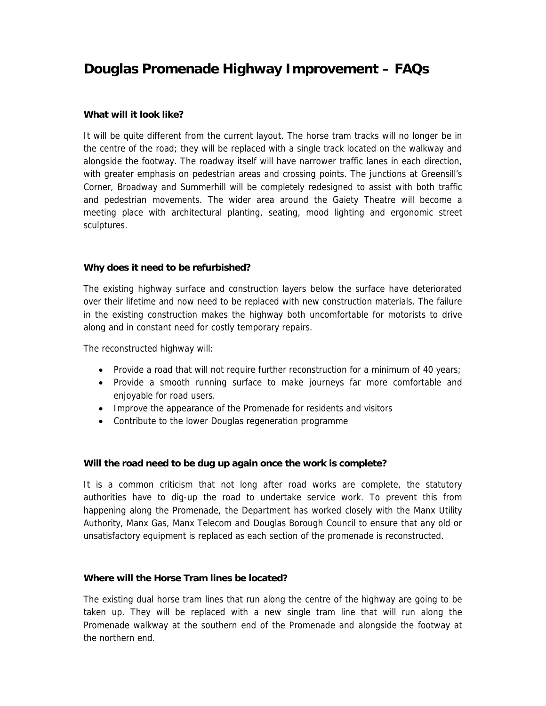# **Douglas Promenade Highway Improvement – FAQs**

#### **What will it look like?**

It will be quite different from the current layout. The horse tram tracks will no longer be in the centre of the road; they will be replaced with a single track located on the walkway and alongside the footway. The roadway itself will have narrower traffic lanes in each direction, with greater emphasis on pedestrian areas and crossing points. The junctions at Greensill's Corner, Broadway and Summerhill will be completely redesigned to assist with both traffic and pedestrian movements. The wider area around the Gaiety Theatre will become a meeting place with architectural planting, seating, mood lighting and ergonomic street sculptures.

## **Why does it need to be refurbished?**

The existing highway surface and construction layers below the surface have deteriorated over their lifetime and now need to be replaced with new construction materials. The failure in the existing construction makes the highway both uncomfortable for motorists to drive along and in constant need for costly temporary repairs.

The reconstructed highway will:

- Provide a road that will not require further reconstruction for a minimum of 40 years;
- Provide a smooth running surface to make journeys far more comfortable and enjoyable for road users.
- Improve the appearance of the Promenade for residents and visitors
- Contribute to the lower Douglas regeneration programme

#### **Will the road need to be dug up again once the work is complete?**

It is a common criticism that not long after road works are complete, the statutory authorities have to dig-up the road to undertake service work. To prevent this from happening along the Promenade, the Department has worked closely with the Manx Utility Authority, Manx Gas, Manx Telecom and Douglas Borough Council to ensure that any old or unsatisfactory equipment is replaced as each section of the promenade is reconstructed.

#### **Where will the Horse Tram lines be located?**

The existing dual horse tram lines that run along the centre of the highway are going to be taken up. They will be replaced with a new single tram line that will run along the Promenade walkway at the southern end of the Promenade and alongside the footway at the northern end.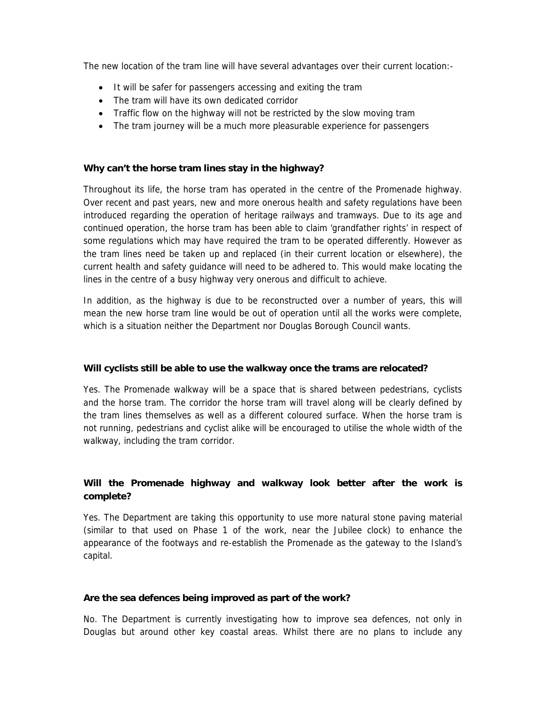The new location of the tram line will have several advantages over their current location:-

- It will be safer for passengers accessing and exiting the tram
- The tram will have its own dedicated corridor
- Traffic flow on the highway will not be restricted by the slow moving tram
- The tram journey will be a much more pleasurable experience for passengers

#### **Why can't the horse tram lines stay in the highway?**

Throughout its life, the horse tram has operated in the centre of the Promenade highway. Over recent and past years, new and more onerous health and safety regulations have been introduced regarding the operation of heritage railways and tramways. Due to its age and continued operation, the horse tram has been able to claim 'grandfather rights' in respect of some regulations which may have required the tram to be operated differently. However as the tram lines need be taken up and replaced (in their current location or elsewhere), the current health and safety guidance will need to be adhered to. This would make locating the lines in the centre of a busy highway very onerous and difficult to achieve.

In addition, as the highway is due to be reconstructed over a number of years, this will mean the new horse tram line would be out of operation until all the works were complete, which is a situation neither the Department nor Douglas Borough Council wants.

#### **Will cyclists still be able to use the walkway once the trams are relocated?**

Yes. The Promenade walkway will be a space that is shared between pedestrians, cyclists and the horse tram. The corridor the horse tram will travel along will be clearly defined by the tram lines themselves as well as a different coloured surface. When the horse tram is not running, pedestrians and cyclist alike will be encouraged to utilise the whole width of the walkway, including the tram corridor.

# **Will the Promenade highway and walkway look better after the work is complete?**

Yes. The Department are taking this opportunity to use more natural stone paving material (similar to that used on Phase 1 of the work, near the Jubilee clock) to enhance the appearance of the footways and re-establish the Promenade as the gateway to the Island's capital.

#### **Are the sea defences being improved as part of the work?**

No. The Department is currently investigating how to improve sea defences, not only in Douglas but around other key coastal areas. Whilst there are no plans to include any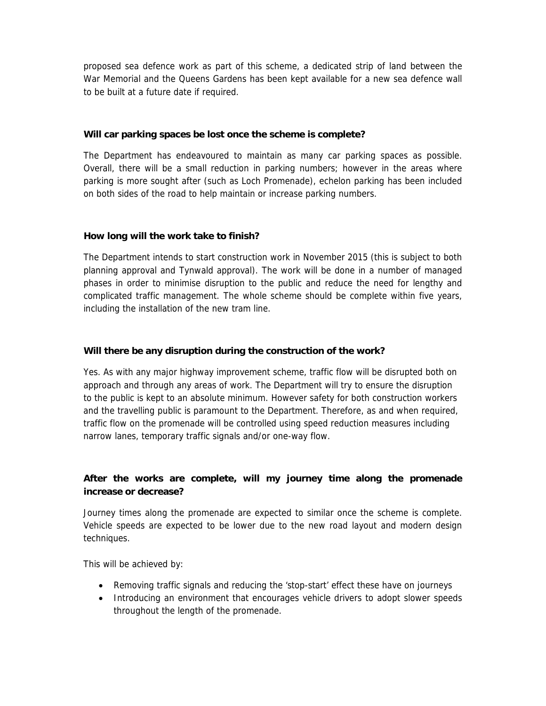proposed sea defence work as part of this scheme, a dedicated strip of land between the War Memorial and the Queens Gardens has been kept available for a new sea defence wall to be built at a future date if required.

#### **Will car parking spaces be lost once the scheme is complete?**

The Department has endeavoured to maintain as many car parking spaces as possible. Overall, there will be a small reduction in parking numbers; however in the areas where parking is more sought after (such as Loch Promenade), echelon parking has been included on both sides of the road to help maintain or increase parking numbers.

## **How long will the work take to finish?**

The Department intends to start construction work in November 2015 (this is subject to both planning approval and Tynwald approval). The work will be done in a number of managed phases in order to minimise disruption to the public and reduce the need for lengthy and complicated traffic management. The whole scheme should be complete within five years, including the installation of the new tram line.

## **Will there be any disruption during the construction of the work?**

Yes. As with any major highway improvement scheme, traffic flow will be disrupted both on approach and through any areas of work. The Department will try to ensure the disruption to the public is kept to an absolute minimum. However safety for both construction workers and the travelling public is paramount to the Department. Therefore, as and when required, traffic flow on the promenade will be controlled using speed reduction measures including narrow lanes, temporary traffic signals and/or one-way flow.

# **After the works are complete, will my journey time along the promenade increase or decrease?**

Journey times along the promenade are expected to similar once the scheme is complete. Vehicle speeds are expected to be lower due to the new road layout and modern design techniques.

This will be achieved by:

- Removing traffic signals and reducing the 'stop-start' effect these have on journeys
- Introducing an environment that encourages vehicle drivers to adopt slower speeds throughout the length of the promenade.